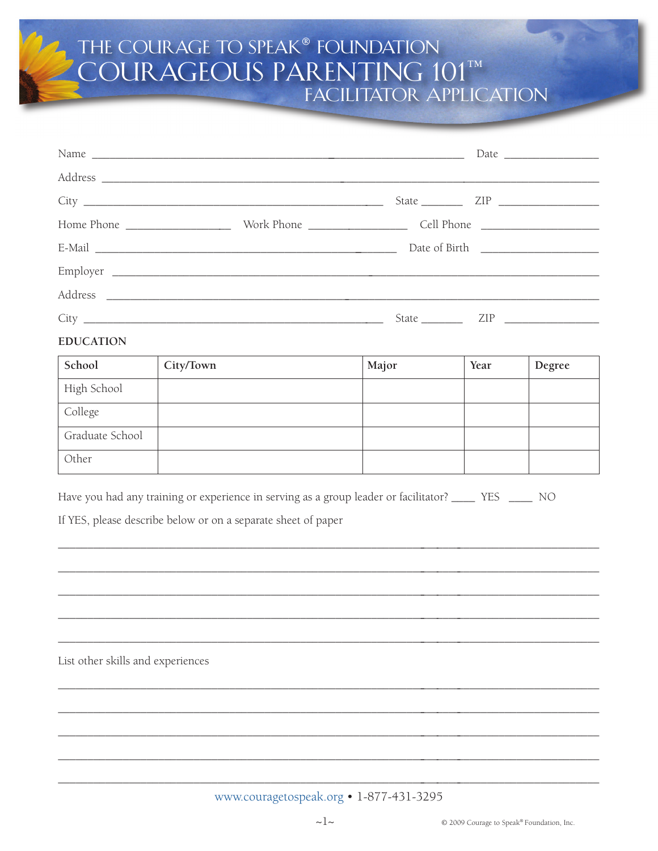## THE COURAGE TO SPEAK® FOUNDATION<br>COURAGEOUS PARENTING 101™ **FACILITATOR APPLICATION**

|                  | State $\_\_$ | ZIP <b>Example</b> |
|------------------|--------------|--------------------|
| <b>EDUCATION</b> |              |                    |

| School          | City/Town | Major | Year | Degree |
|-----------------|-----------|-------|------|--------|
| High School     |           |       |      |        |
| College         |           |       |      |        |
| Graduate School |           |       |      |        |
| Other           |           |       |      |        |

Have you had any training or experience in serving as a group leader or facilitator? \_\_\_\_\_ YES \_\_\_\_\_ NO

If YES, please describe below or on a separate sheet of paper

List other skills and experiences